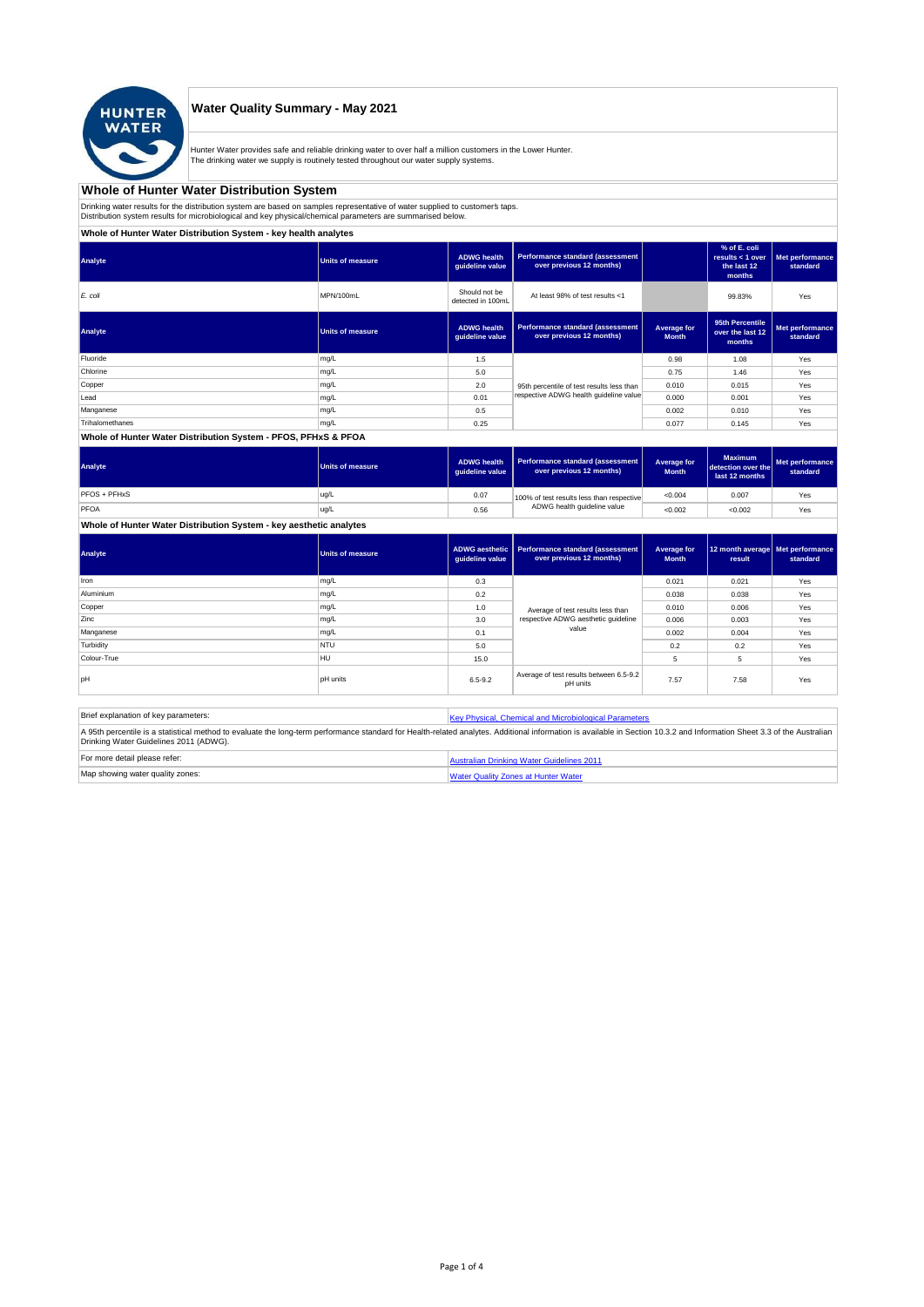

## **Water Quality Summary - May 2021**

Hunter Water provides safe and reliable drinking water to over half a million customers in the Lower Hunter. The drinking water we supply is routinely tested throughout our water supply systems.

# **Whole of Hunter Water Distribution System**

Drinking water results for the distribution system are based on samples representative of water supplied to customer' taps.<br>Distribution system results for microbiological and key physical/chemical parameters are summarise

**Whole of Hunter Water Distribution System - key health analytes**

| Analyte         | <b>Units of measure</b> | <b>ADWG</b> health<br>guideline value | <b>Performance standard (assessment</b><br>over previous 12 months) |                             | % of E. coli<br>results $<$ 1 over<br>the last 12<br>months | Met performance<br>standard |
|-----------------|-------------------------|---------------------------------------|---------------------------------------------------------------------|-----------------------------|-------------------------------------------------------------|-----------------------------|
| E. coli         | MPN/100mL               | Should not be<br>detected in 100mL    | At least 98% of test results <1                                     |                             | 99.83%                                                      | Yes                         |
| Analyte         | <b>Units of measure</b> | <b>ADWG</b> health<br>guideline value | <b>Performance standard (assessment</b><br>over previous 12 months) | Average for<br><b>Month</b> | 95th Percentile<br>over the last 12<br>months               | Met performance<br>standard |
| Fluoride        | mg/L                    | 1.5                                   |                                                                     | 0.98                        | 1.08                                                        | Yes                         |
| Chlorine        | mg/L                    | 5.0                                   |                                                                     | 0.75                        | 1.46                                                        | Yes                         |
| Copper          | mg/L                    | 2.0                                   | 95th percentile of test results less than                           | 0.010                       | 0.015                                                       | Yes                         |
| Lead            | mg/L                    | 0.01                                  | respective ADWG health quideline value                              | 0.000                       | 0.001                                                       | Yes                         |
| Manganese       | mg/L                    | 0.5                                   |                                                                     | 0.002                       | 0.010                                                       | Yes                         |
| Trihalomethanes | mg/L                    | 0.25                                  |                                                                     | 0.077                       | 0.145                                                       | Yes                         |
|                 |                         |                                       |                                                                     |                             |                                                             |                             |

#### **Whole of Hunter Water Distribution System - PFOS, PFHxS & PFOA**

| Analyte      | <b>Units of measure</b> | <b>ADWG health</b><br>quideline value | Performance standard (assessment<br>over previous 12 months) | Average for<br><b>Month</b> | <b>Maximum</b><br>detection over the<br>last 12 months | Met performance<br>standard |
|--------------|-------------------------|---------------------------------------|--------------------------------------------------------------|-----------------------------|--------------------------------------------------------|-----------------------------|
| PFOS + PFHxS | ug/L                    | 0.07                                  | 100% of test results less than respective                    | < 0.004                     | 0.007                                                  | Yes                         |
| PFOA         | ug/L                    | 0.56                                  | ADWG health guideline value                                  | < 0.002                     | < 0.002                                                | Yes                         |

# **Whole of Hunter Water Distribution System - key aesthetic analytes**

| Analyte     | Units of measure | guideline value | ADWG aesthetic   Performance standard (assessment<br>over previous 12 months) | Average for<br><b>Month</b> | 12 month average   Met performance<br>result | standard |
|-------------|------------------|-----------------|-------------------------------------------------------------------------------|-----------------------------|----------------------------------------------|----------|
| Iron        | mg/L             | 0.3             |                                                                               | 0.021                       | 0.021                                        | Yes      |
| Aluminium   | mg/L             | 0.2             |                                                                               | 0.038                       | 0.038                                        | Yes      |
| Copper      | mg/L             | 1.0             | Average of test results less than                                             | 0.010                       | 0.006                                        | Yes      |
| Zinc        | mg/L             | 3.0             | respective ADWG aesthetic quideline                                           | 0.006                       | 0.003                                        | Yes      |
| Manganese   | mg/L             | 0.1             | value                                                                         | 0.002                       | 0.004                                        | Yes      |
| Turbidity   | <b>NTU</b>       | 5.0             |                                                                               | 0.2                         | 0.2                                          | Yes      |
| Colour-True | HU               | 15.0            |                                                                               | 5                           | 5                                            | Yes      |
| loH         | <b>pH</b> units  | $6.5 - 9.2$     | Average of test results between 6.5-9.2<br>pH units                           | 7.57                        | 7.58                                         | Yes      |

| Brief explanation of key parameters:   | Key Physical, Chemical and Microbiological Parameters                                                                                                                                                                   |
|----------------------------------------|-------------------------------------------------------------------------------------------------------------------------------------------------------------------------------------------------------------------------|
| Drinking Water Guidelines 2011 (ADWG). | A 95th percentile is a statistical method to evaluate the long-term performance standard for Health-related analytes. Additional information is available in Section 10.3.2 and Information Sheet 3.3 of the Australian |
| For more detail please refer:          | Australian Drinking Water Guidelines 2011                                                                                                                                                                               |
| Map showing water quality zones:       | <b>Water Quality Zones at Hunter Water</b>                                                                                                                                                                              |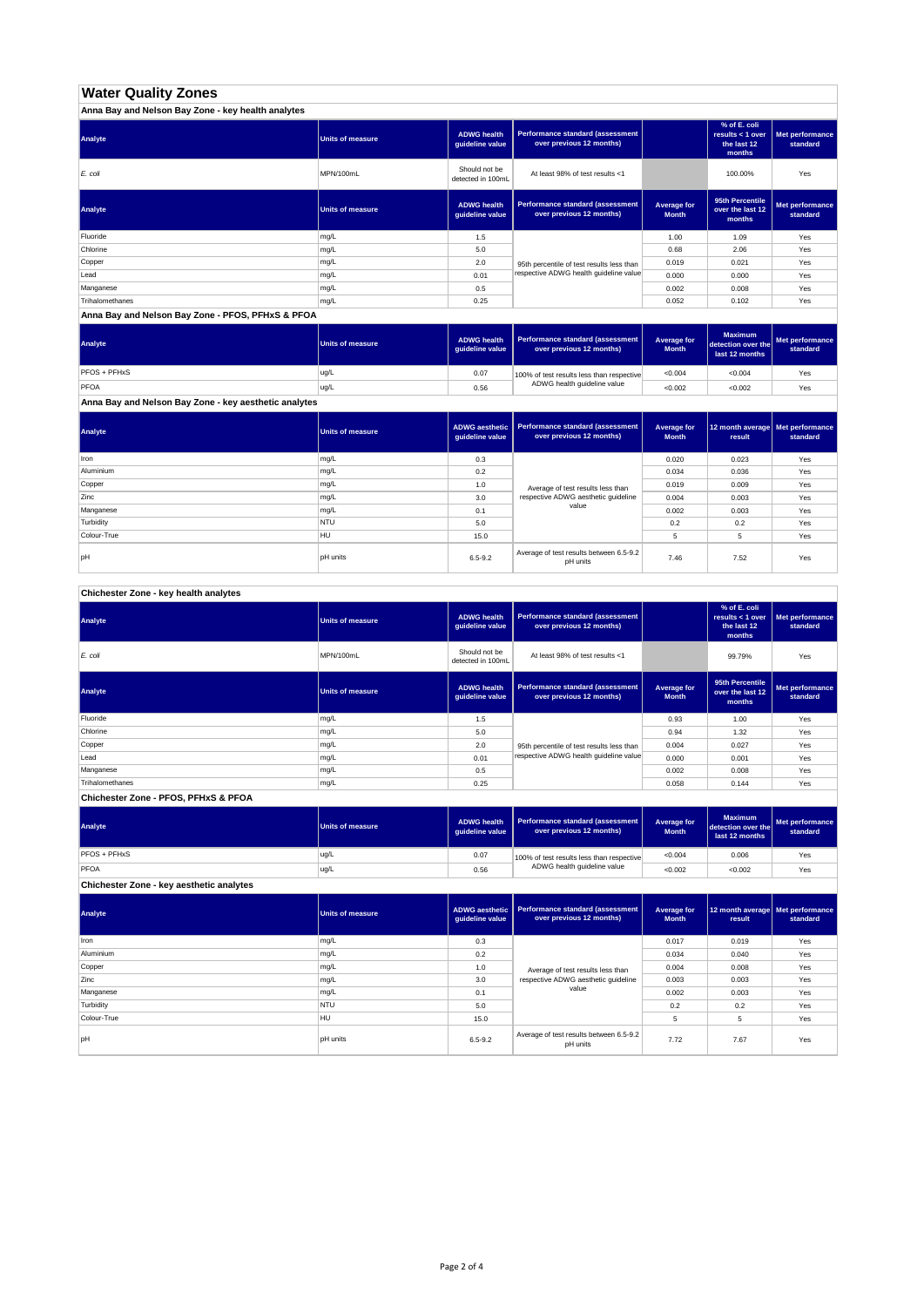# **Water Quality Zones**

| Anna Bay and Nelson Bay Zone - key health analytes |                  |                                       |                                                                     |                             |                                                           |                             |
|----------------------------------------------------|------------------|---------------------------------------|---------------------------------------------------------------------|-----------------------------|-----------------------------------------------------------|-----------------------------|
| Analyte                                            | Units of measure | <b>ADWG health</b><br>guideline value | <b>Performance standard (assessment</b><br>over previous 12 months) |                             | % of E. coli<br>results < 1 over<br>the last 12<br>months | Met performance<br>standard |
| E. coli                                            | MPN/100mL        | Should not be<br>detected in 100mL    | At least 98% of test results <1                                     |                             | 100.00%                                                   | Yes                         |
| Analyte                                            | Units of measure | <b>ADWG health</b><br>guideline value | Performance standard (assessment<br>over previous 12 months)        | Average for<br><b>Month</b> | 95th Percentile<br>over the last 12<br>months             | Met performance<br>standard |
| Fluoride                                           | mg/L             | 1.5                                   |                                                                     | 1.00                        | 1.09                                                      | Yes                         |
| Chlorine                                           | mg/L             | 5.0                                   |                                                                     | 0.68                        | 2.06                                                      | Yes                         |
| Copper                                             | mg/L             | 2.0                                   | 95th percentile of test results less than                           | 0.019                       | 0.021                                                     | Yes                         |
| Lead                                               | mg/L             | 0.01                                  | respective ADWG health quideline value                              | 0.000                       | 0.000                                                     | Yes                         |
| Manganese                                          | mg/L             | 0.5                                   |                                                                     | 0.002                       | 0.008                                                     | Yes                         |
| Trihalomethanes                                    | mg/L             | 0.25                                  |                                                                     | 0.052                       | 0.102                                                     | Yes                         |

**Anna Bay and Nelson Bay Zone - PFOS, PFHxS & PFOA**

| Analyte      | Units of measure | <b>ADWG health</b><br>quideline value | Performance standard (assessment<br>over previous 12 months) | <b>Average for</b><br><b>Month</b> | <b>Maximum</b><br>detection over the<br>last 12 months | Met performance<br>standard |
|--------------|------------------|---------------------------------------|--------------------------------------------------------------|------------------------------------|--------------------------------------------------------|-----------------------------|
| PFOS + PFHxS | ug/L             | 0.07                                  | 100% of test results less than respective                    | < 0.004                            | < 0.004                                                | Yes                         |
| PFOA         | ug/L             | 0.56                                  | ADWG health guideline value                                  | < 0.002                            | < 0.002                                                | Yes                         |

**Anna Bay and Nelson Bay Zone - key aesthetic analytes**

| Analyte     | Units of measure | ADWG aesthetic  <br>guideline value | Performance standard (assessment<br>over previous 12 months) | Average for<br><b>Month</b> | 12 month average   Met performance<br>result | standard |
|-------------|------------------|-------------------------------------|--------------------------------------------------------------|-----------------------------|----------------------------------------------|----------|
| Iron        | mg/L             | 0.3                                 |                                                              | 0.020                       | 0.023                                        | Yes      |
| Aluminium   | mg/L             | 0.2                                 |                                                              | 0.034                       | 0.036                                        | Yes      |
| Copper      | mg/L             | 1.0                                 | Average of test results less than                            | 0.019                       | 0.009                                        | Yes      |
| Zinc        | mg/L             | 3.0                                 | respective ADWG aesthetic quideline                          | 0.004                       | 0.003                                        | Yes      |
| Manganese   | mg/L             | 0.1                                 | value                                                        | 0.002                       | 0.003                                        | Yes      |
| Turbidity   | <b>NTU</b>       | 5.0                                 |                                                              | 0.2                         | 0.2                                          | Yes      |
| Colour-True | HU               | 15.0                                |                                                              |                             | 5                                            | Yes      |
| pH          | <b>pH</b> units  | $6.5 - 9.2$                         | Average of test results between 6.5-9.2<br>pH units          | 7.46                        | 7.52                                         | Yes      |

**Chichester Zone - key health analytes**

| Analyte         | <b>Units of measure</b> | <b>ADWG health</b><br>guideline value | Performance standard (assessment<br>over previous 12 months) |                             | % of E. coli<br>results $<$ 1 over<br>the last 12<br>months | Met performance<br>standard |
|-----------------|-------------------------|---------------------------------------|--------------------------------------------------------------|-----------------------------|-------------------------------------------------------------|-----------------------------|
| E. coli         | MPN/100mL               | Should not be<br>detected in 100mL    | At least 98% of test results <1                              |                             | 99.79%                                                      | Yes                         |
| Analyte         | Units of measure        | <b>ADWG health</b><br>guideline value | Performance standard (assessment<br>over previous 12 months) | Average for<br><b>Month</b> | 95th Percentile<br>over the last 12<br>months               | Met performance<br>standard |
| Fluoride        | mg/L                    | 1.5                                   |                                                              | 0.93                        | 1.00                                                        | Yes                         |
| Chlorine        | mg/L                    | 5.0                                   |                                                              | 0.94                        | 1.32                                                        | Yes                         |
| Copper          | mg/L                    | 2.0                                   | 95th percentile of test results less than                    | 0.004                       | 0.027                                                       | Yes                         |
| Lead            | mg/L                    | 0.01                                  | respective ADWG health quideline value                       | 0.000                       | 0.001                                                       | Yes                         |
| Manganese       | mg/L                    | 0.5                                   |                                                              | 0.002                       | 0.008                                                       | Yes                         |
| Trihalomethanes | mg/L                    | 0.25                                  |                                                              | 0.058                       | 0.144                                                       | Yes                         |

**Chichester Zone - PFOS, PFHxS & PFOA**

| Analyte                                  | Units of measure | <b>ADWG health</b><br>auideline value | <b>Performance standard (assessment</b><br>over previous 12 months) | Average for<br><b>Month</b> | <b>Maximum</b><br>detection over the<br>last 12 months | Met performance<br>standard |
|------------------------------------------|------------------|---------------------------------------|---------------------------------------------------------------------|-----------------------------|--------------------------------------------------------|-----------------------------|
| PFOS + PFHxS                             | ug/L             | 0.07                                  | 100% of test results less than respective                           | < 0.004                     | 0.006                                                  | Yes                         |
| PFOA                                     | ug/L             | 0.56                                  | ADWG health guideline value                                         | < 0.002                     | < 0.002                                                | Yes                         |
| Chichester Zone - key aesthetic analytes |                  |                                       |                                                                     |                             |                                                        |                             |

| Analyte     | <b>Units of measure</b> | ADWG aesthetic<br>guideline value | <b>Performance standard (assessment</b><br>over previous 12 months) | Average for<br><b>Month</b> | 12 month average   Met performance<br>result | standard |
|-------------|-------------------------|-----------------------------------|---------------------------------------------------------------------|-----------------------------|----------------------------------------------|----------|
| Iron        | mg/L                    | 0.3                               |                                                                     | 0.017                       | 0.019                                        | Yes      |
| Aluminium   | mg/L                    | 0.2                               |                                                                     | 0.034                       | 0.040                                        | Yes      |
| Copper      | mg/L                    | 1.0                               | Average of test results less than                                   | 0.004                       | 0.008                                        | Yes      |
| Zinc        | mg/L                    | 3.0                               | respective ADWG aesthetic quideline                                 | 0.003                       | 0.003                                        | Yes      |
| Manganese   | mg/L                    | 0.1                               | value                                                               | 0.002                       | 0.003                                        | Yes      |
| Turbidity   | <b>NTU</b>              | 5.0                               |                                                                     | 0.2                         | 0.2                                          | Yes      |
| Colour-True | <b>HU</b>               | 15.0                              |                                                                     | 5                           | 5                                            | Yes      |
| pH          | pH units                | $6.5 - 9.2$                       | Average of test results between 6.5-9.2<br>pH units                 | 7.72                        | 7.67                                         | Yes      |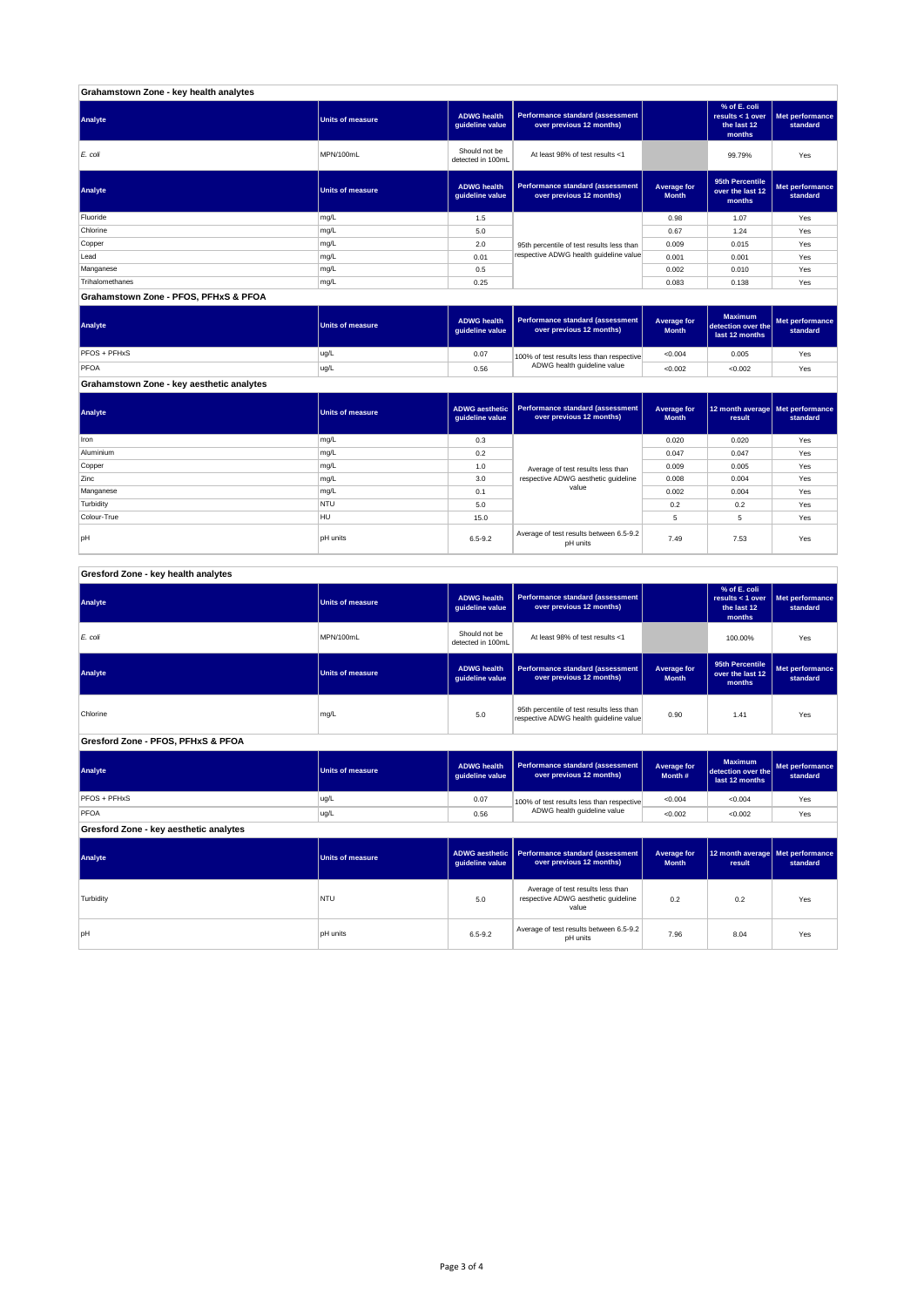| Grahamstown Zone - key health analytes |                         |                                       |                                                              |                             |                                                             |                             |
|----------------------------------------|-------------------------|---------------------------------------|--------------------------------------------------------------|-----------------------------|-------------------------------------------------------------|-----------------------------|
| Analyte                                | <b>Units of measure</b> | <b>ADWG health</b><br>guideline value | Performance standard (assessment<br>over previous 12 months) |                             | % of E. coli<br>results $<$ 1 over<br>the last 12<br>months | Met performance<br>standard |
| E. coli                                | MPN/100mL               | Should not be<br>detected in 100mL    | At least 98% of test results <1                              |                             | 99.79%                                                      | Yes                         |
| Analyte                                | <b>Units of measure</b> | <b>ADWG health</b><br>quideline value | Performance standard (assessment<br>over previous 12 months) | Average for<br><b>Month</b> | 95th Percentile<br>over the last 12<br>months               | Met performance<br>standard |
| Fluoride                               | mg/L                    | 1.5                                   |                                                              | 0.98                        | 1.07                                                        | Yes                         |
| Chlorine                               | mg/L                    | 5.0                                   |                                                              | 0.67                        | 1.24                                                        | Yes                         |
| Copper                                 | mg/L                    | 2.0                                   | 95th percentile of test results less than                    | 0.009                       | 0.015                                                       | Yes                         |
| Lead                                   | mg/L                    | 0.01                                  | respective ADWG health guideline value                       | 0.001                       | 0.001                                                       | Yes                         |
| Manganese                              | mg/L                    | 0.5                                   |                                                              | 0.002                       | 0.010                                                       | Yes                         |
| Trihalomethanes                        | mg/L                    | 0.25                                  |                                                              | 0.083                       | 0.138                                                       | Yes                         |
| Grahamstown Zone - PFOS, PFHxS & PFOA  |                         |                                       |                                                              |                             |                                                             |                             |

**ADWG health guideline value Average for Month Maximum detection over the last 12 months Met performance standard** 0.07 100% of test results less than respective  $\sim 0.004$  0.005  $\sim$  Yes 0.56 <0.002 <0.002 Yes PFOS + PFHxS ug/L<br>PFOA ug/L<br>PFOA ug/L PFOA ug/L 100% of test results less than respective ADWG health guideline value **Analyte Performance standard (assessment <b>Performance standard (assessment Performance standard (assessment Performance standard (assessment Performance standard (assessment** 

**Grahamstown Zone - key aesthetic analytes**

| Analyte     | <b>Units of measure</b> | guideline value | ADWG aesthetic   Performance standard (assessment  <br>over previous 12 months) | Average for<br><b>Month</b> | 12 month average   Met performance<br>result | standard |
|-------------|-------------------------|-----------------|---------------------------------------------------------------------------------|-----------------------------|----------------------------------------------|----------|
| Iron        | mg/L                    | 0.3             |                                                                                 | 0.020                       | 0.020                                        | Yes      |
| Aluminium   | mg/L                    | 0.2             |                                                                                 | 0.047                       | 0.047                                        | Yes      |
| Copper      | mg/L                    | 1.0             | Average of test results less than                                               | 0.009                       | 0.005                                        | Yes      |
| Zinc        | mg/L                    | 3.0             | respective ADWG aesthetic guideline                                             | 0.008                       | 0.004                                        | Yes      |
| Manganese   | mg/L                    | 0.1             | value                                                                           | 0.002                       | 0.004                                        | Yes      |
| Turbidity   | <b>NTU</b>              | 5.0             |                                                                                 | 0.2                         | 0.2                                          | Yes      |
| Colour-True | HU                      | 15.0            |                                                                                 | 5                           | 5                                            | Yes      |
| pH          | <b>pH</b> units         | $6.5 - 9.2$     | Average of test results between 6.5-9.2<br>pH units                             | 7.49                        | 7.53                                         | Yes      |

| Gresford Zone - key health analytes |  |
|-------------------------------------|--|
|                                     |  |

| Analyte                                | <b>Units of measure</b> | <b>ADWG</b> health<br>guideline value                                                      | Performance standard (assessment<br>over previous 12 months)                                       |                                    | % of E. coli<br>results < $1$ over<br>the last 12<br>months | Met performance<br>standard |
|----------------------------------------|-------------------------|--------------------------------------------------------------------------------------------|----------------------------------------------------------------------------------------------------|------------------------------------|-------------------------------------------------------------|-----------------------------|
| E. coli                                | MPN/100mL               | Should not be<br>detected in 100mL                                                         | At least 98% of test results <1                                                                    |                                    | 100.00%                                                     | Yes                         |
| Analyte                                | <b>Units of measure</b> | <b>ADWG</b> health<br>guideline value                                                      | Performance standard (assessment<br><b>Average for</b><br>over previous 12 months)<br><b>Month</b> |                                    | 95th Percentile<br>over the last 12<br>months               | Met performance<br>standard |
| Chlorine                               | mg/L                    | 95th percentile of test results less than<br>5.0<br>respective ADWG health guideline value |                                                                                                    | 0.90                               | 1.41                                                        | Yes                         |
| Gresford Zone - PFOS, PFHxS & PFOA     |                         |                                                                                            |                                                                                                    |                                    |                                                             |                             |
| Analyte                                | <b>Units of measure</b> | <b>ADWG</b> health<br>guideline value                                                      | Performance standard (assessment<br>over previous 12 months)                                       | <b>Average for</b><br>Month #      | <b>Maximum</b><br>detection over the<br>last 12 months      | Met performance<br>standard |
| PFOS + PFHxS                           | ug/L                    | 0.07                                                                                       | 100% of test results less than respective                                                          | < 0.004                            | < 0.004                                                     | Yes                         |
| PFOA                                   | ug/L                    | 0.56                                                                                       | ADWG health guideline value                                                                        | < 0.002                            | < 0.002                                                     | Yes                         |
| Gresford Zone - key aesthetic analytes |                         |                                                                                            |                                                                                                    |                                    |                                                             |                             |
| Analyte                                | <b>Units of measure</b> | <b>ADWG</b> aesthetic<br>guideline value                                                   | Performance standard (assessment<br>over previous 12 months)                                       | <b>Average for</b><br><b>Month</b> | 12 month average<br>result                                  | Met performance<br>standard |
| Turbidity                              | <b>NTU</b>              | 5.0                                                                                        | Average of test results less than<br>respective ADWG aesthetic quideline<br>value                  | 0.2                                | 0.2                                                         | Yes                         |
| pH                                     | <b>pH</b> units         | $6.5 - 9.2$                                                                                | Average of test results between 6.5-9.2<br>pH units                                                | 7.96                               | 8.04                                                        | Yes                         |